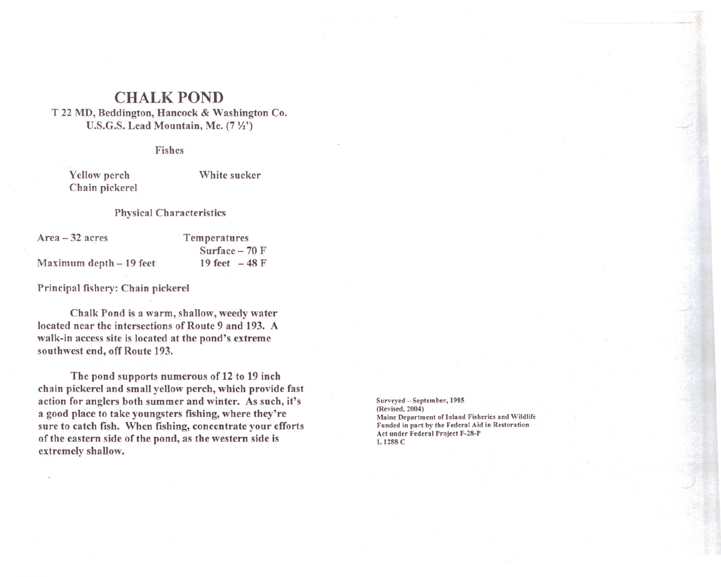## **CHALK POND**

T 22 MD, Beddington, Hancock & Washington Co. U.S.G.S. Lead Mountain, Me.  $(7  $\frac{1}{2}$ )$ 

Fishes

Yellow perch Chain pickerel

Maximum depth - 19 feet

White sucker

## Physical Characteristics

Area - 32 acres

Temperatures Surface  $-70$  F 19 feet  $-48$  F

Principal fishery: Chain pickerel

Chalk Pond is a warm, shallow, weedy water located near the intersections of Route 9 and 193. A walk-in access site is located at the pond's extreme southwest end, off Route 193.

The pond supports numerous of 12 to 19 inch chain pickerel and small yellow perch, which provide fast action for anglers both summer and winter. As such, it's a good place to take youngsters fishing, where they're sure to catch fish. When fishing, concentrate your efforts of the eastern side of the pond, as the western side is extremely shallow.

Surveyed - September, 1985 (Revised, 2004) Maine Department of Inland Fisheries and Wildlife Funded in part by the Federal Aid in Restoration Act under Federal Project F-28-P L 1288 C